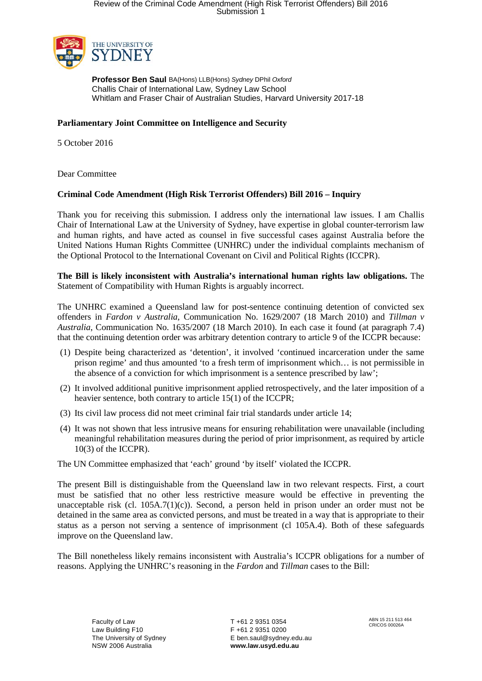

**Professor Ben Saul** BA(Hons) LLB(Hons) *Sydney* DPhil *Oxford* Challis Chair of International Law, Sydney Law School Whitlam and Fraser Chair of Australian Studies, Harvard University 2017-18

## **Parliamentary Joint Committee on Intelligence and Security**

5 October 2016

Dear Committee

## **Criminal Code Amendment (High Risk Terrorist Offenders) Bill 2016 – Inquiry**

Thank you for receiving this submission. I address only the international law issues. I am Challis Chair of International Law at the University of Sydney, have expertise in global counter-terrorism law and human rights, and have acted as counsel in five successful cases against Australia before the United Nations Human Rights Committee (UNHRC) under the individual complaints mechanism of the Optional Protocol to the International Covenant on Civil and Political Rights (ICCPR).

**The Bill is likely inconsistent with Australia's international human rights law obligations.** The Statement of Compatibility with Human Rights is arguably incorrect.

The UNHRC examined a Queensland law for post-sentence continuing detention of convicted sex offenders in *Fardon v Australia*, Communication No. 1629/2007 (18 March 2010) and *Tillman v Australia*, Communication No. 1635/2007 (18 March 2010). In each case it found (at paragraph 7.4) that the continuing detention order was arbitrary detention contrary to article 9 of the ICCPR because:

- (1) Despite being characterized as 'detention', it involved 'continued incarceration under the same prison regime' and thus amounted 'to a fresh term of imprisonment which… is not permissible in the absence of a conviction for which imprisonment is a sentence prescribed by law';
- (2) It involved additional punitive imprisonment applied retrospectively, and the later imposition of a heavier sentence, both contrary to article 15(1) of the ICCPR;
- (3) Its civil law process did not meet criminal fair trial standards under article 14;
- (4) It was not shown that less intrusive means for ensuring rehabilitation were unavailable (including meaningful rehabilitation measures during the period of prior imprisonment, as required by article  $10(3)$  of the ICCPR).

The UN Committee emphasized that 'each' ground 'by itself' violated the ICCPR.

The present Bill is distinguishable from the Queensland law in two relevant respects. First, a court must be satisfied that no other less restrictive measure would be effective in preventing the unacceptable risk (cl. 105A.7(1)(c)). Second, a person held in prison under an order must not be detained in the same area as convicted persons, and must be treated in a way that is appropriate to their status as a person not serving a sentence of imprisonment (cl 105A.4). Both of these safeguards improve on the Queensland law.

The Bill nonetheless likely remains inconsistent with Australia's ICCPR obligations for a number of reasons. Applying the UNHRC's reasoning in the *Fardon* and *Tillman* cases to the Bill: